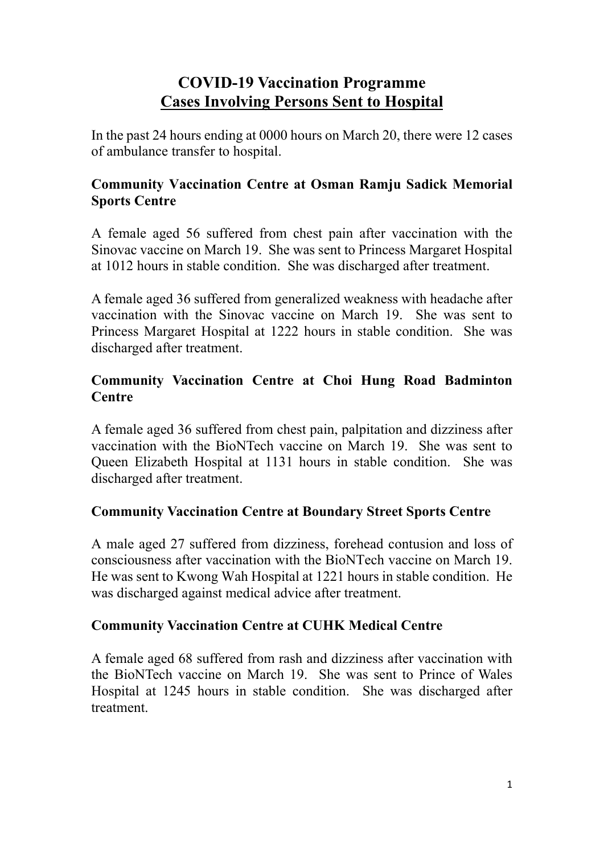# **COVID-19 Vaccination Programme Cases Involving Persons Sent to Hospital**

In the past 24 hours ending at 0000 hours on March 20, there were 12 cases of ambulance transfer to hospital.

## **Community Vaccination Centre at Osman Ramju Sadick Memorial Sports Centre**

A female aged 56 suffered from chest pain after vaccination with the Sinovac vaccine on March 19. She was sent to Princess Margaret Hospital at 1012 hours in stable condition. She was discharged after treatment.

A female aged 36 suffered from generalized weakness with headache after vaccination with the Sinovac vaccine on March 19. She was sent to Princess Margaret Hospital at 1222 hours in stable condition. She was discharged after treatment.

### **Community Vaccination Centre at Choi Hung Road Badminton Centre**

A female aged 36 suffered from chest pain, palpitation and dizziness after vaccination with the BioNTech vaccine on March 19. She was sent to Queen Elizabeth Hospital at 1131 hours in stable condition. She was discharged after treatment.

## **Community Vaccination Centre at Boundary Street Sports Centre**

A male aged 27 suffered from dizziness, forehead contusion and loss of consciousness after vaccination with the BioNTech vaccine on March 19. He was sent to Kwong Wah Hospital at 1221 hours in stable condition. He was discharged against medical advice after treatment.

## **Community Vaccination Centre at CUHK Medical Centre**

A female aged 68 suffered from rash and dizziness after vaccination with the BioNTech vaccine on March 19. She was sent to Prince of Wales Hospital at 1245 hours in stable condition. She was discharged after treatment.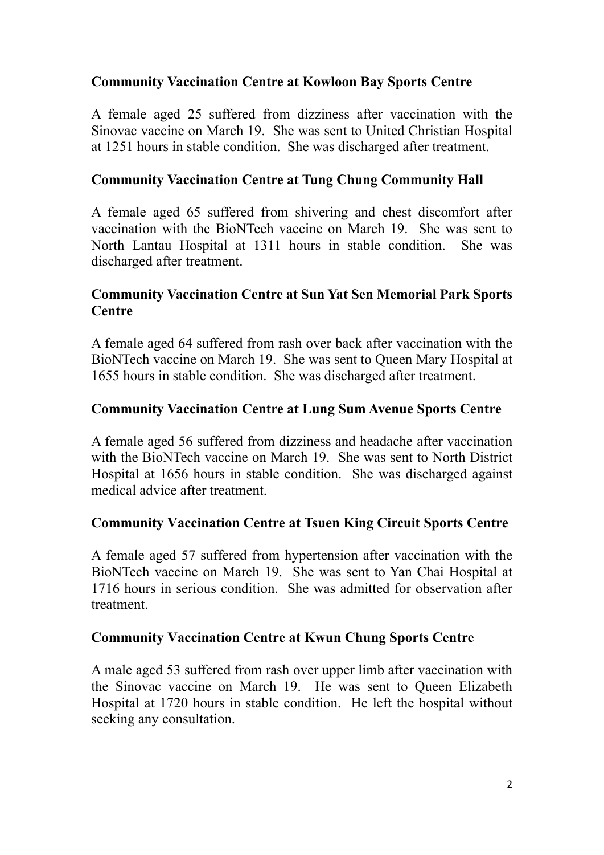### **Community Vaccination Centre at Kowloon Bay Sports Centre**

A female aged 25 suffered from dizziness after vaccination with the Sinovac vaccine on March 19. She was sent to United Christian Hospital at 1251 hours in stable condition. She was discharged after treatment.

#### **Community Vaccination Centre at Tung Chung Community Hall**

A female aged 65 suffered from shivering and chest discomfort after vaccination with the BioNTech vaccine on March 19. She was sent to North Lantau Hospital at 1311 hours in stable condition. She was discharged after treatment.

#### **Community Vaccination Centre at Sun Yat Sen Memorial Park Sports Centre**

A female aged 64 suffered from rash over back after vaccination with the BioNTech vaccine on March 19. She was sent to Queen Mary Hospital at 1655 hours in stable condition. She was discharged after treatment.

#### **Community Vaccination Centre at Lung Sum Avenue Sports Centre**

A female aged 56 suffered from dizziness and headache after vaccination with the BioNTech vaccine on March 19. She was sent to North District Hospital at 1656 hours in stable condition. She was discharged against medical advice after treatment.

#### **Community Vaccination Centre at Tsuen King Circuit Sports Centre**

A female aged 57 suffered from hypertension after vaccination with the BioNTech vaccine on March 19. She was sent to Yan Chai Hospital at 1716 hours in serious condition. She was admitted for observation after treatment.

#### **Community Vaccination Centre at Kwun Chung Sports Centre**

A male aged 53 suffered from rash over upper limb after vaccination with the Sinovac vaccine on March 19. He was sent to Queen Elizabeth Hospital at 1720 hours in stable condition. He left the hospital without seeking any consultation.